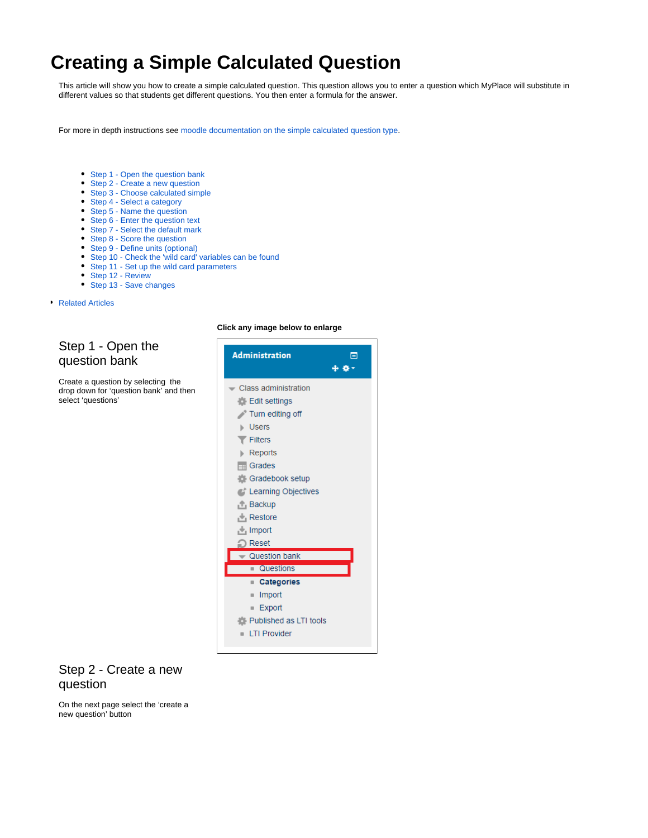# <span id="page-0-2"></span>**Creating a Simple Calculated Question**

This article will show you how to create a simple calculated question. This question allows you to enter a question which MyPlace will substitute in different values so that students get different questions. You then enter a formula for the answer.

For more in depth instructions see [moodle documentation on the simple calculated question type](https://docs.moodle.org/34/en/Simple_calculated_question_type).

- [Step 1 Open the question bank](#page-0-0)
- [Step 2 Create a new question](#page-0-1)
- [Step 3 Choose calculated simple](#page-1-0)
- [Step 4 Select a category](#page-1-1)
- [Step 5 Name the question](#page-1-2)
- [Step 6 Enter the question text](#page-1-3)
- [Step 7 Select the default mark](#page-1-4)
- [Step 8 Score the question](#page-2-0)
- [Step 9 Define units \(optional\)](#page-2-1)
- [Step 10 Check the 'wild card' variables can be found](#page-2-2)
- [Step 11 Set up the wild card parameters](#page-2-3)
- [Step 12 Review](#page-2-4)
- [Step 13 Save changes](#page-2-5)

#### [Related Articles](#page-3-0)

#### <span id="page-0-0"></span>Step 1 - Open the question bank

Create a question by selecting the drop down for 'question bank' and then select 'questions'

#### **Click any image below to enlarge**



#### <span id="page-0-1"></span>Step 2 - Create a new question

On the next page select the 'create a new question' button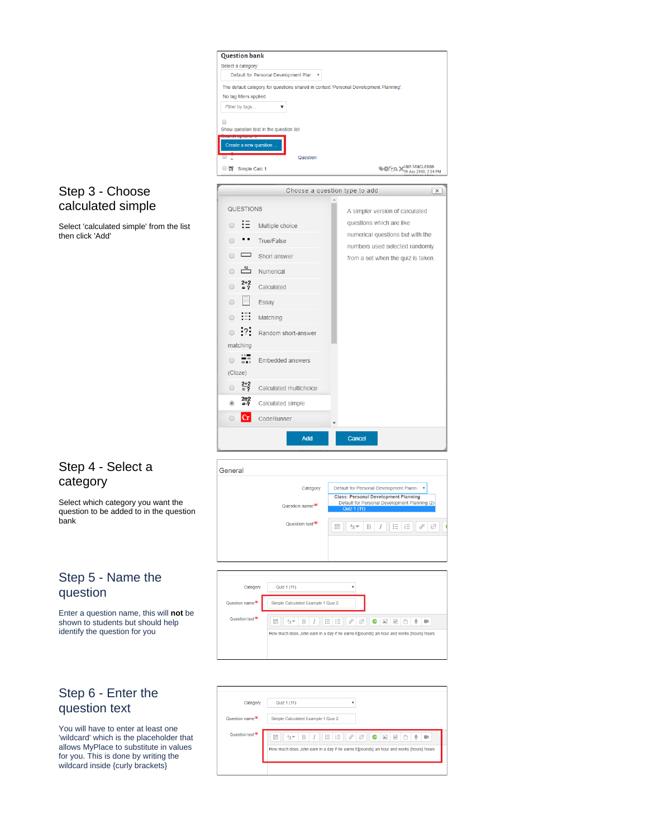

questions which are like numerical questions but with the

numbers used selected randomly

from a set when the quiz is taken.

 $\circ$  :  $\equiv$  Multiple choice

● True/False

 $\overline{})$   $\overline{12}$  Numerical  $2+2$  $\circ$ 

 $\bigcirc$ 僵 Essay

 $\circ$   $\mathbb{H}$ 

 $\circ$  :?:

matching

 $(Cloze)$  $2 +$ 

 $\circ$   $\Box$  Short answer

Calculated

Matching

 $\overline{\bullet}$   $\overline{\bullet}$  Embedded answers

Random short-answer

#### <span id="page-1-0"></span>Step 3 - Choose calculated simple

Select 'calculated simple' from the list then click 'Add'

### <span id="page-1-1"></span>Step 4 - Select a category

Select which category you want the question to be added to in the question bank

#### <span id="page-1-2"></span>Step 5 - Name the question

Enter a question name, this will **not** be shown to students but should help identify the question for you

### <span id="page-1-3"></span>Step 6 - Enter the question text

<span id="page-1-4"></span>You will have to enter at least one 'wildcard' which is the placeholder that allows MyPlace to substitute in values for you. This is done by writing the wildcard inside {curly brackets}

| $\frac{1}{2}$<br>$\circ$         | Calculated multichoice      |                                                                                                             |
|----------------------------------|-----------------------------|-------------------------------------------------------------------------------------------------------------|
| $\frac{2+2}{2}$<br>$\circledast$ | Calculated simple           |                                                                                                             |
| $ {\rm Cr} $<br>$\odot$          | CodeRunner                  | $\overline{\phantom{a}}$                                                                                    |
|                                  | Add                         | Cancel                                                                                                      |
|                                  |                             |                                                                                                             |
| General                          |                             |                                                                                                             |
|                                  | Category                    | Default for Personal Development Planni<br>v                                                                |
|                                  | Question name <sup>**</sup> | <b>Class: Personal Development Planning</b><br>Default for Personal Development Planning (2)<br>Quiz 1 (11) |
|                                  | Question text <sup>*</sup>  | 這<br>$\frac{5000}{5000}$<br>łΞ<br>$A_A \blacktriangleright$<br>8<br>恣<br>B<br>I                             |
|                                  |                             |                                                                                                             |
|                                  |                             |                                                                                                             |
|                                  |                             |                                                                                                             |



| Category                    | Quiz 1 (11)<br>٠                                                                                                                                                                                                                               |
|-----------------------------|------------------------------------------------------------------------------------------------------------------------------------------------------------------------------------------------------------------------------------------------|
| Question name <sup>**</sup> | Simple Calculated Example 1 Quiz 2                                                                                                                                                                                                             |
| Question text <sup>**</sup> | 8<br>183<br>這<br>這<br>÷<br>Ġ<br>$\overline{\mathbb{H}}$<br>$\mathbb Q$<br>e<br>$\mathbb{A}^*$<br>B<br>$\overline{I}$<br>$A_A \neq$<br>$\blacksquare$<br>How much does John earn in a day if he earns £{pounds} an hour and works {hours} hours |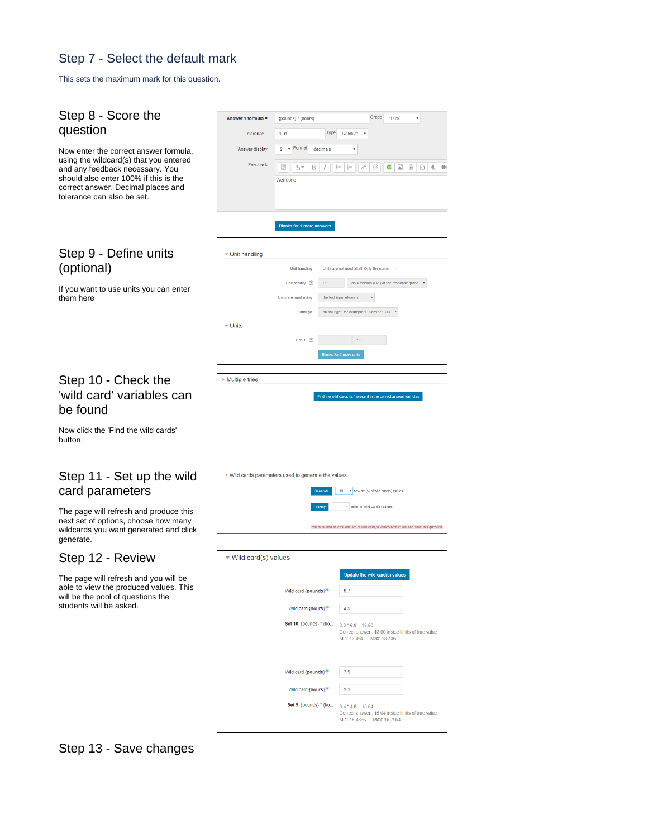# Step 7 - Select the default mark

This sets the maximum mark for this question.

<span id="page-2-2"></span><span id="page-2-1"></span><span id="page-2-0"></span>

| Step 8 - Score the<br>question                                                                                                                                                                                                  | Answer 1 formula =             | {pounds} * {hours}                                           |                                                                                        | Grade<br>100%                                                        |                                 |                |   |
|---------------------------------------------------------------------------------------------------------------------------------------------------------------------------------------------------------------------------------|--------------------------------|--------------------------------------------------------------|----------------------------------------------------------------------------------------|----------------------------------------------------------------------|---------------------------------|----------------|---|
|                                                                                                                                                                                                                                 | Tolerance ±                    | 0.01                                                         | Type<br>Relative                                                                       |                                                                      |                                 |                |   |
| Now enter the correct answer formula,<br>using the wildcard(s) that you entered<br>and any feedback necessary. You<br>should also enter 100% if this is the<br>correct answer. Decimal places and<br>tolerance can also be set. | Answer display<br>Feedback     | Format<br>$2 - r$<br>decimals<br>噩<br>B<br>A⊿ ≂<br>Well done | 這<br>挂<br>P                                                                            | 恣<br>œ                                                               | $\mathbb{R}^2$ . $\mathbb{R}^2$ | $\circledcirc$ | ۰ |
|                                                                                                                                                                                                                                 |                                | <b>Blanks for 1 more answers</b>                             |                                                                                        |                                                                      |                                 |                |   |
| Step 9 - Define units                                                                                                                                                                                                           | ▼ Unit handling                |                                                              |                                                                                        |                                                                      |                                 |                |   |
| (optional)                                                                                                                                                                                                                      |                                | Unit handling                                                | Units are not used at all. Only the numer                                              |                                                                      |                                 |                |   |
| If you want to use units you can enter<br>them here                                                                                                                                                                             |                                | 0.1<br>Unit penalty <sup>7</sup><br>Units are input using    | the text input element                                                                 | as a fraction (0-1) of the response grade<br>$\overline{\mathbf{v}}$ |                                 |                |   |
|                                                                                                                                                                                                                                 |                                | Units go                                                     | on the right, for example 1.00cm or 1.00F                                              |                                                                      |                                 |                |   |
|                                                                                                                                                                                                                                 | $\overline{\phantom{a}}$ Units |                                                              |                                                                                        |                                                                      |                                 |                |   |
|                                                                                                                                                                                                                                 |                                | Unit $1 \quad$                                               | 1.0                                                                                    |                                                                      |                                 |                |   |
|                                                                                                                                                                                                                                 |                                |                                                              | Blanks for 2 more units                                                                |                                                                      |                                 |                |   |
|                                                                                                                                                                                                                                 |                                |                                                              |                                                                                        |                                                                      |                                 |                |   |
| Step 10 - Check the                                                                                                                                                                                                             | ▶ Multiple tries               |                                                              | Find the wild cards {x} present in the correct answer formulas                         |                                                                      |                                 |                |   |
|                                                                                                                                                                                                                                 |                                |                                                              |                                                                                        |                                                                      |                                 |                |   |
|                                                                                                                                                                                                                                 |                                |                                                              |                                                                                        |                                                                      |                                 |                |   |
|                                                                                                                                                                                                                                 |                                | ▶ Wild cards parameters used to generate the values          |                                                                                        |                                                                      |                                 |                |   |
| 'wild card' variables can<br>be found<br>Now click the 'Find the wild cards'<br>button.<br>Step 11 - Set up the wild<br>card parameters                                                                                         |                                |                                                              | 10                                                                                     | Thew set(s) of wild card(s) values                                   |                                 |                |   |
| The page will refresh and produce this<br>next set of options, choose how many                                                                                                                                                  |                                | Display                                                      |                                                                                        | * set(s) of wild card(s) values                                      |                                 |                |   |
|                                                                                                                                                                                                                                 |                                |                                                              | You must add at least one set of wild card(s) values before you can save this question |                                                                      |                                 |                |   |
| wildcards you want generated and click<br>generate.<br>Step 12 - Review                                                                                                                                                         | ▼ Wild card(s) values          |                                                              |                                                                                        |                                                                      |                                 |                |   |
|                                                                                                                                                                                                                                 |                                |                                                              |                                                                                        | Update the wild card(s) values                                       |                                 |                |   |
|                                                                                                                                                                                                                                 |                                | Wild card {pounds} <sup>*</sup>                              | 8.7                                                                                    |                                                                      |                                 |                |   |
| The page will refresh and you will be<br>able to view the produced values. This<br>will be the pool of questions the<br>students will be asked.                                                                                 |                                | Wild card {hours}                                            | 4.5                                                                                    |                                                                      |                                 |                |   |
|                                                                                                                                                                                                                                 |                                | Set 10 {pounds} * {ho                                        | $2.0 * 6.8 = 13.60$<br>Min: 13.464 -- Max: 13.736                                      | Correct answer: 13.60 inside limits of true value                    |                                 |                |   |
|                                                                                                                                                                                                                                 |                                | Wild card {pounds}                                           | 7.5                                                                                    |                                                                      |                                 |                |   |
|                                                                                                                                                                                                                                 |                                | Wild card {hours}                                            | 2.1                                                                                    |                                                                      |                                 |                |   |

## <span id="page-2-5"></span><span id="page-2-4"></span><span id="page-2-3"></span>Step 13 - Save changes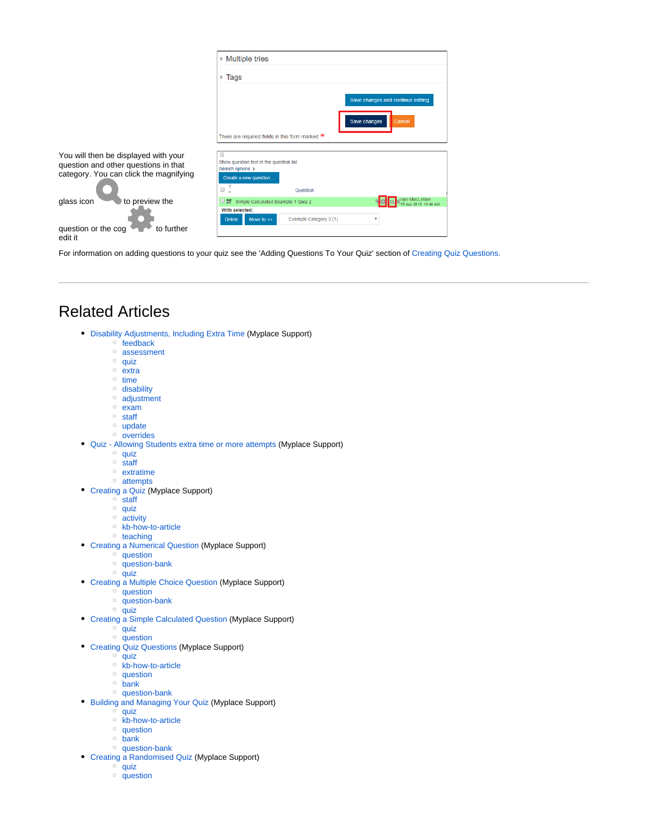|                                                                                                                        | $\triangleright$ Multiple tries                                                                                         |                                                             |  |
|------------------------------------------------------------------------------------------------------------------------|-------------------------------------------------------------------------------------------------------------------------|-------------------------------------------------------------|--|
|                                                                                                                        | Tags<br>Þ.                                                                                                              |                                                             |  |
|                                                                                                                        | There are required fields in this form marked $*$                                                                       | Save changes and continue editing<br>Save changes<br>Cancel |  |
| You will then be displayed with your<br>question and other questions in that<br>category. You can click the magnifying | Show question text in the question list<br>Search options  <br>Create a new question                                    |                                                             |  |
|                                                                                                                        | 0<br>Question                                                                                                           |                                                             |  |
| glass icon<br>to preview the                                                                                           | Simple Calculated Example 1 Quiz 2<br>25.2<br>With selected:<br>Example Category 3 (1)<br><b>Delete</b><br>Move to $>>$ | lain MacLellan<br>July 2019, 10:40 AM                       |  |
| to further<br>question or the cog<br>edit it                                                                           |                                                                                                                         |                                                             |  |

For information on adding questions to your quiz see the 'Adding Questions To Your Quiz' section of [Creating Quiz Questions.](https://wiki.lte.strath.ac.uk/display/MS/Creating+Quiz+Questions)

# <span id="page-3-0"></span>Related Articles

- [Disability Adjustments, Including Extra Time](https://wiki.lte.strath.ac.uk/display/MS/Disability+Adjustments%2C+Including+Extra+Time) (Myplace Support)
	- $\circ$  [feedback](https://wiki.lte.strath.ac.uk/label/feedback)
	- [assessment](https://wiki.lte.strath.ac.uk/label/assessment)
	- $\circ$  [quiz](https://wiki.lte.strath.ac.uk/label/quiz)
	- $\circ$  [extra](https://wiki.lte.strath.ac.uk/label/extra)
	- $\circ$  [time](https://wiki.lte.strath.ac.uk/label/time)
	- <sup>o</sup> [disability](https://wiki.lte.strath.ac.uk/label/disability)
	- [adjustment](https://wiki.lte.strath.ac.uk/label/adjustment)  $\circ$  [exam](https://wiki.lte.strath.ac.uk/label/exam)
	- <sup>o</sup> [staff](https://wiki.lte.strath.ac.uk/label/staff)
	-
	- <sup>o</sup> [update](https://wiki.lte.strath.ac.uk/label/update) <sup>o</sup> [overrides](https://wiki.lte.strath.ac.uk/label/overrides)
- [Quiz Allowing Students extra time or more attempts](https://wiki.lte.strath.ac.uk/display/MS/Quiz+-+Allowing+Students+extra+time+or+more+attempts) (Myplace Support)
	- $^{\circ}$  [quiz](https://wiki.lte.strath.ac.uk/label/quiz)
	- <sup>o</sup> [staff](https://wiki.lte.strath.ac.uk/label/staff)
	- <sup>o</sup> [extratime](https://wiki.lte.strath.ac.uk/label/extratime)
	- <sup>o</sup> [attempts](https://wiki.lte.strath.ac.uk/label/attempts)
- [Creating a Quiz](https://wiki.lte.strath.ac.uk/display/MS/Creating+a+Quiz) (Myplace Support)
	- <sup>o</sup> [staff](https://wiki.lte.strath.ac.uk/label/staff)
	- $^{\circ}$  [quiz](https://wiki.lte.strath.ac.uk/label/quiz)
	- <sup>o</sup> [activity](https://wiki.lte.strath.ac.uk/label/activity)
	- <sup>o</sup> [kb-how-to-article](https://wiki.lte.strath.ac.uk/label/kb-how-to-article)
	- [teaching](https://wiki.lte.strath.ac.uk/label/teaching)
- [Creating a Numerical Question](https://wiki.lte.strath.ac.uk/display/MS/Creating+a+Numerical+Question) (Myplace Support)
	- <sup>o</sup> [question](https://wiki.lte.strath.ac.uk/label/question)
	- $\circ$  [question-bank](https://wiki.lte.strath.ac.uk/label/question-bank)
	- $\circ$  [quiz](https://wiki.lte.strath.ac.uk/label/quiz)
- [Creating a Multiple Choice Question](https://wiki.lte.strath.ac.uk/display/MS/Creating+a+Multiple+Choice+Question) (Myplace Support)
	- <sup>o</sup> [question](https://wiki.lte.strath.ac.uk/label/question)
	- $\circ$  [question-bank](https://wiki.lte.strath.ac.uk/label/question-bank)
	- $^{\circ}$  [quiz](https://wiki.lte.strath.ac.uk/label/quiz)
- [Creating a Simple Calculated Question](#page-0-2) (Myplace Support)  $^{\circ}$  [quiz](https://wiki.lte.strath.ac.uk/label/quiz)
	- $\circ$  [question](https://wiki.lte.strath.ac.uk/label/question)
	-
- [Creating Quiz Questions](https://wiki.lte.strath.ac.uk/display/MS/Creating+Quiz+Questions) (Myplace Support)  $\degree$  [quiz](https://wiki.lte.strath.ac.uk/label/quiz)
	- <sup>o</sup> [kb-how-to-article](https://wiki.lte.strath.ac.uk/label/kb-how-to-article)
	- <sup>o</sup> [question](https://wiki.lte.strath.ac.uk/label/question)
	- $\circ$  [bank](https://wiki.lte.strath.ac.uk/label/bank)
	- <sup>o</sup> [question-bank](https://wiki.lte.strath.ac.uk/label/question-bank)
- [Building and Managing Your Quiz](https://wiki.lte.strath.ac.uk/display/MS/Building+and+Managing+Your+Quiz) (Myplace Support)
	- $^{\circ}$  [quiz](https://wiki.lte.strath.ac.uk/label/quiz)
		- o [kb-how-to-article](https://wiki.lte.strath.ac.uk/label/kb-how-to-article)
		- <sup>o</sup> [question](https://wiki.lte.strath.ac.uk/label/question)
		- $\circ$  [bank](https://wiki.lte.strath.ac.uk/label/bank)
		- <sup>o</sup> [question-bank](https://wiki.lte.strath.ac.uk/label/question-bank)
- [Creating a Randomised Quiz](https://wiki.lte.strath.ac.uk/display/MS/Creating+a+Randomised+Quiz) (Myplace Support)
	- $\circ$  [quiz](https://wiki.lte.strath.ac.uk/label/quiz)  $^{\circ}$  [question](https://wiki.lte.strath.ac.uk/label/question)